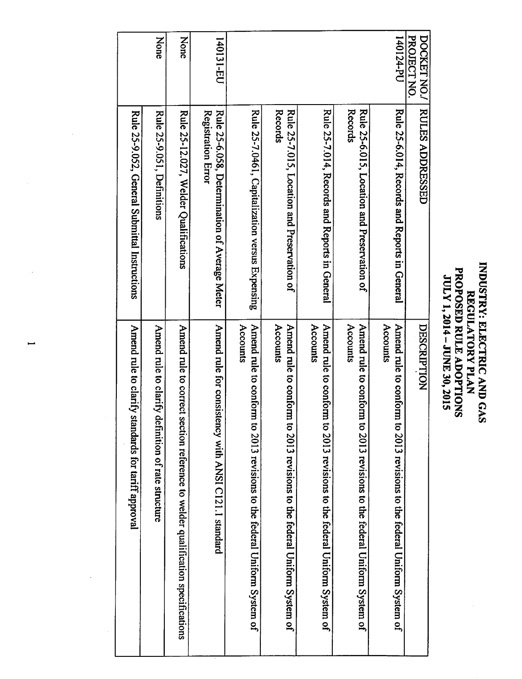| INDUSTRY: ELECTRIC AND GAS<br>REGULATORY PLAN |
|-----------------------------------------------|
|                                               |

| PROJECT NO.<br>DOCKET NO. | <b>RULES ADDRESSED</b>                                              | DESCRIPTION                                                                          |
|---------------------------|---------------------------------------------------------------------|--------------------------------------------------------------------------------------|
| 14-124-PU                 | Rule 25-6.014, Records and Reports in General                       | Accounts<br>Amend rule to conform to 2013 revisions to the federal Uniform System of |
|                           | Records<br>Rule 25-6.015, Location and Preservation of              | Amend rule to conform to 2013 revisions to the federal Uniform System of<br>Accounts |
|                           | Rule 25-7.014, Records and Reports in General                       | Amend rule to conform to 2013 revisions to the federal Uniform System of<br>Accounts |
|                           | Records<br>Rule 25-7.015, Location and Preservation of              | Amend rule to conform to 2013 revisions to the federal Uniform System of<br>Accounts |
|                           | Rule 25-7.0461, Capitalization versus Expensing                     | Amend rule to conform to 2013 revisions to the federal Uniform System of<br>Accounts |
| 140131-ED                 | Rule 25-6.058, Determination of Average Meter<br>Registration Error | Amend rule for consist<br>tency with ANSI C121.1 standard                            |
| None                      | Rule 25-12.027, Welder Qualifications                               | Amend rule to correct<br>section reference to welder qualification specifications    |
| <b>None</b>               | Rule 25-9.051, Definitions                                          | Amend rule to clarify<br>definition of rate structure                                |
|                           | Rule 25-9.052, General Submittal Instructions                       | Amend rule to clarify<br>standards for tariff approval                               |

 $\lambda_{\rm{max}}$ 

 $\mathcal{A}^{\mathcal{A}}$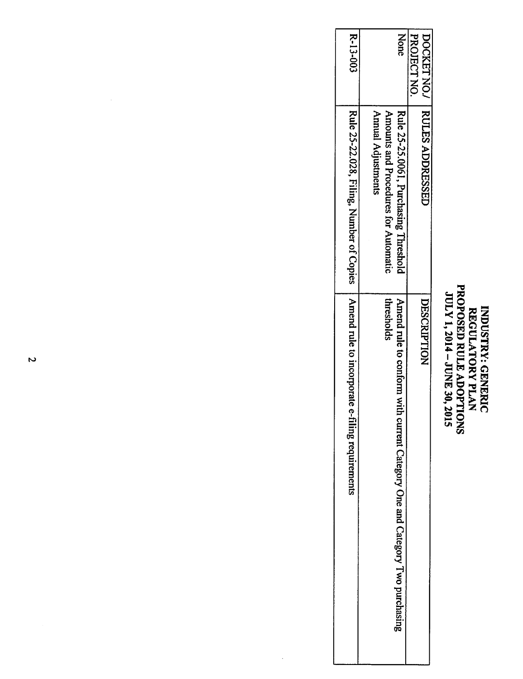## INDUSTRY: GENERIC REGULATORY PLAN PROPOSED RULE ADOPTIONS JULY 1,2014 - JUNE 30,2015

| e-filing requirements                                                                     | Rule 25-22.028, Filing, Number of Copies   Amerad rule to incorporate                               | <b>R-13-003</b> |
|-------------------------------------------------------------------------------------------|-----------------------------------------------------------------------------------------------------|-----------------|
| thresholds<br>Amend rule to conform with current Category One and Category Two purchasing | Annual Adjustments<br>Amounts and Procedures for Automatic<br>Rule 25-25.0061, Purchasing Threshold | None            |
| DESCRIPTION                                                                               | DOCKET NO.   RULES ADDRESSED                                                                        | PROJECT NO.     |

 $\frac{1}{2}$ 

 $\hat{\mathcal{A}}$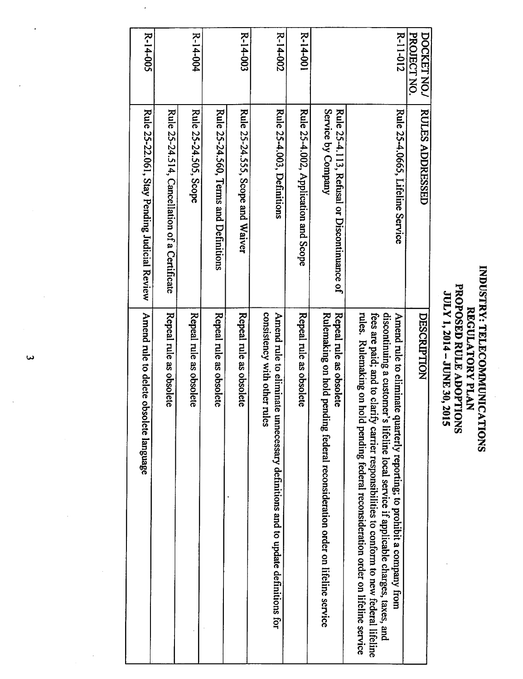## INDUSTRY: TELECOMMUNICATIONS REGULATORY PLAN PROPOSED RULE ADOPTIONS JULY 1,2014 - JUNE 30,2015

| R-14-004<br>Rule 25-24.514, Cancellation of a Certificate<br>Rule 25-24.505, Scope |                         |                         | Rule 25-24.560, Terms and Definitions | $R - 14 - 003$<br>Rule 25-24.555, Scope and Waiver | R-14-002<br>Rule 25-4.003, Definitions                                                                           | $R - 14 - 001$<br>Rule 25-4.002, Application and Scope | Service by Company<br>Rule 25-4.113, Refusal or Discontinuance of                                           |                                                                                                                                                                                                                                                                                                                                 | R-11-012<br>Rule 25-4.0665, Lifeline Service | PROJECT NO.<br><b>DOCKET NO./</b><br><b>RULES ADDRESSED</b> |  |
|------------------------------------------------------------------------------------|-------------------------|-------------------------|---------------------------------------|----------------------------------------------------|------------------------------------------------------------------------------------------------------------------|--------------------------------------------------------|-------------------------------------------------------------------------------------------------------------|---------------------------------------------------------------------------------------------------------------------------------------------------------------------------------------------------------------------------------------------------------------------------------------------------------------------------------|----------------------------------------------|-------------------------------------------------------------|--|
|                                                                                    | Repeal rule as obsolete | Repeal rule as obsolete | Repeal rule as obsolete               | Repeal rule as obsolete                            | consistency with other rules<br>Amend rule to eliminate<br>unnecessary definitions and to update definitions for | Repeal rule as obsolete                                | Repeal rule as obsolete<br>Rulemaking on hold pen<br>ding federal reconsideration order on lifeline service | rules. Rulemaking on hold pending federal reconsideration order on lifeline service<br>fees are paid; and to clari<br>discontinuing a customer's lifeline local service if applicable charges, taxes, and<br>ify carrier responsibilities to conform to new federal lifeline<br>quarterly reporting; to prohibit a company from | Amend rule to eliminate                      | DESCRIPTION                                                 |  |

 $\tilde{\mathbf{v}}$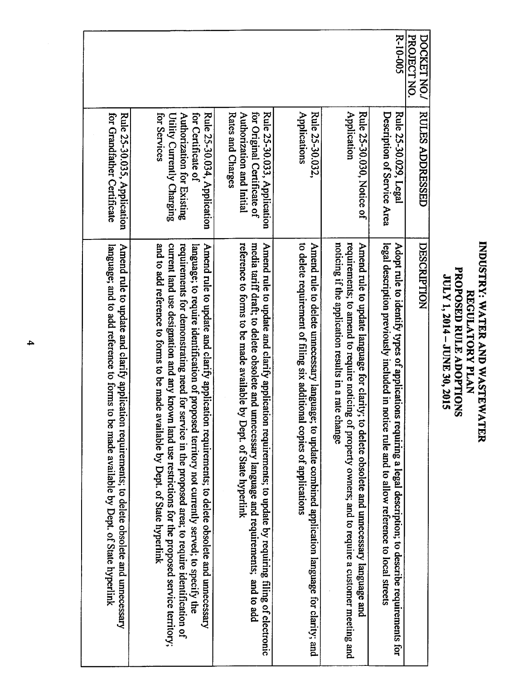| language; and to add reference to forms to<br>Amend rule to update and clarify application requirements; to delete obsolete and unnecessary<br>be made available by Dept. of State hyperlink                                                                                                                                                                                                                                                                                                    | for Grandfather Certificate<br>Rule 25-30.035, Application                                                                    |                            |
|-------------------------------------------------------------------------------------------------------------------------------------------------------------------------------------------------------------------------------------------------------------------------------------------------------------------------------------------------------------------------------------------------------------------------------------------------------------------------------------------------|-------------------------------------------------------------------------------------------------------------------------------|----------------------------|
| and to add reference to forms to be made available by Dept. of State hyperlink<br>current land use designation and any known land use restrictions for the proposed service territory;<br>requirements for demonstrating need for service in the proposed area; to require identification of<br>Amend rule to update and clarify application requirements; to delete obsolete and unnecessary<br>language; to require identification of proposed territory not currently served; to specify the | for Certificate of<br>Rule 25-30.034, Application<br>for Services<br>Authorization for Existing<br>Utility Currently Charging |                            |
| reference to forms to be made available by<br>media tariff draft; to delete obsolete and unnecessary language and requirements; and to add<br>Amend rule to update and clarify applicati<br>ion requirements; to update by requiring filing of electronic<br>Dept. of State hyperlink                                                                                                                                                                                                           | for Original Certificate of<br>Rates and Charges<br>Authorization and Initial<br>Rule 25-30.033, Application                  |                            |
| to delete requirement of filing six additional copies of applications<br>Amend rule to delete unnecessary language; to update combined application language for clarity; and                                                                                                                                                                                                                                                                                                                    | Applications<br>Rule 25-30.032,                                                                                               |                            |
| requirements; to amend to require noticing<br>noticing if the application results in a rate<br>Amend rule to update language for clarity<br>change<br>of property owners; and to require a customer meeting and<br>to delete obsolete and unnecessary language and                                                                                                                                                                                                                              | Application<br><b>Rule 25-30.030, Notic</b>                                                                                   |                            |
| legal description previously included in notice rule and to allow reference to local streets<br>Adopt rule to identify types of applications requiring a legal description; to describe requirements for                                                                                                                                                                                                                                                                                        | Description of Service Area<br>Rule 25-30.029, Legal                                                                          | R-10-005                   |
| DESCRIPTION                                                                                                                                                                                                                                                                                                                                                                                                                                                                                     | <b>RULES ADDRESSED</b>                                                                                                        | PROJECT NO.<br>DOCKET NO./ |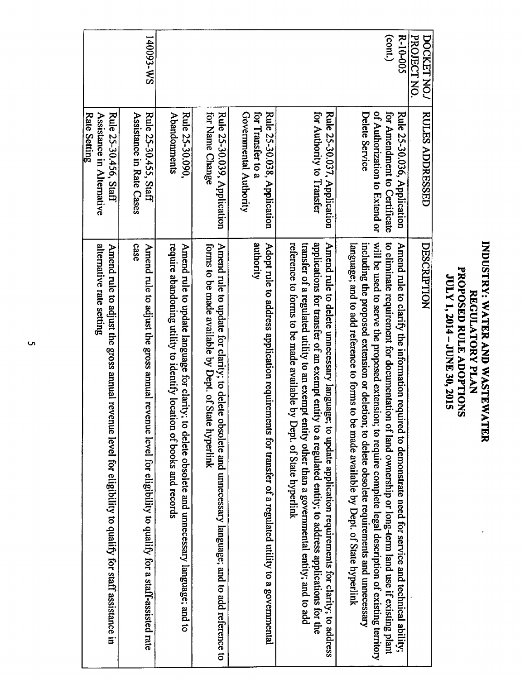## INDUSTRY: WATER AND WASTEWATER REGULATORY PLAN PROPOSED RULE ADOPTIONS JULY 1,2014 - **ここて** 30,2015

| I40093-WS                                                                                                                                                                                                                                              |
|--------------------------------------------------------------------------------------------------------------------------------------------------------------------------------------------------------------------------------------------------------|
| <b>Rule 25-30.456, Staff</b><br>Rule 25-30.455, Staff<br>Assistance in Rate Cases                                                                                                                                                                      |
| alternative rate setting<br>case<br>Amend rule to adjust the gross annual revenue level for eligibility to qualify for staff assistance in<br>Amend rule to adjust the gross annual revenue level for eligibility to qualify for a staff-assisted rate |